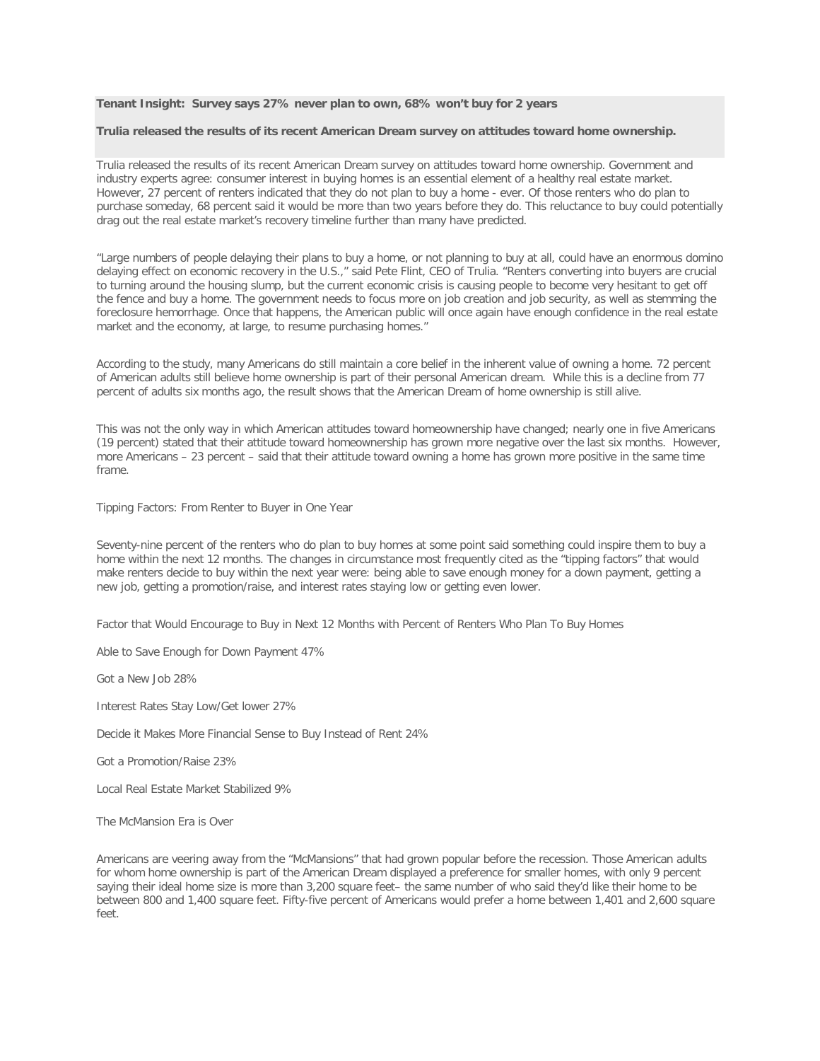## **Tenant Insight: Survey says 27% never plan to own, 68% won't buy for 2 years**

## **Trulia released the results of its recent American Dream survey on attitudes toward home ownership.**

Trulia released the results of its recent American Dream survey on attitudes toward home ownership. Government and industry experts agree: consumer interest in buying homes is an essential element of a healthy real estate market. However, 27 percent of renters indicated that they do not plan to buy a home - ever. Of those renters who do plan to purchase someday, 68 percent said it would be more than two years before they do. This reluctance to buy could potentially drag out the real estate market's recovery timeline further than many have predicted.

"Large numbers of people delaying their plans to buy a home, or not planning to buy at all, could have an enormous domino delaying effect on economic recovery in the U.S.," said Pete Flint, CEO of Trulia. "Renters converting into buyers are crucial to turning around the housing slump, but the current economic crisis is causing people to become very hesitant to get off the fence and buy a home. The government needs to focus more on job creation and job security, as well as stemming the foreclosure hemorrhage. Once that happens, the American public will once again have enough confidence in the real estate market and the economy, at large, to resume purchasing homes."

According to the study, many Americans do still maintain a core belief in the inherent value of owning a home. 72 percent of American adults still believe home ownership is part of their personal American dream. While this is a decline from 77 percent of adults six months ago, the result shows that the American Dream of home ownership is still alive.

This was not the only way in which American attitudes toward homeownership have changed; nearly one in five Americans (19 percent) stated that their attitude toward homeownership has grown more negative over the last six months. However, more Americans – 23 percent – said that their attitude toward owning a home has grown more positive in the same time frame.

Tipping Factors: From Renter to Buyer in One Year

Seventy-nine percent of the renters who do plan to buy homes at some point said something could inspire them to buy a home within the next 12 months. The changes in circumstance most frequently cited as the "tipping factors" that would make renters decide to buy within the next year were: being able to save enough money for a down payment, getting a new job, getting a promotion/raise, and interest rates staying low or getting even lower.

Factor that Would Encourage to Buy in Next 12 Months with Percent of Renters Who Plan To Buy Homes

Able to Save Enough for Down Payment 47%

Got a New Job 28%

Interest Rates Stay Low/Get lower 27%

Decide it Makes More Financial Sense to Buy Instead of Rent 24%

Got a Promotion/Raise 23%

Local Real Estate Market Stabilized 9%

The McMansion Era is Over

Americans are veering away from the "McMansions" that had grown popular before the recession. Those American adults for whom home ownership is part of the American Dream displayed a preference for smaller homes, with only 9 percent saying their ideal home size is more than 3,200 square feet– the same number of who said they'd like their home to be between 800 and 1,400 square feet. Fifty-five percent of Americans would prefer a home between 1,401 and 2,600 square  $f \rho \rho t$